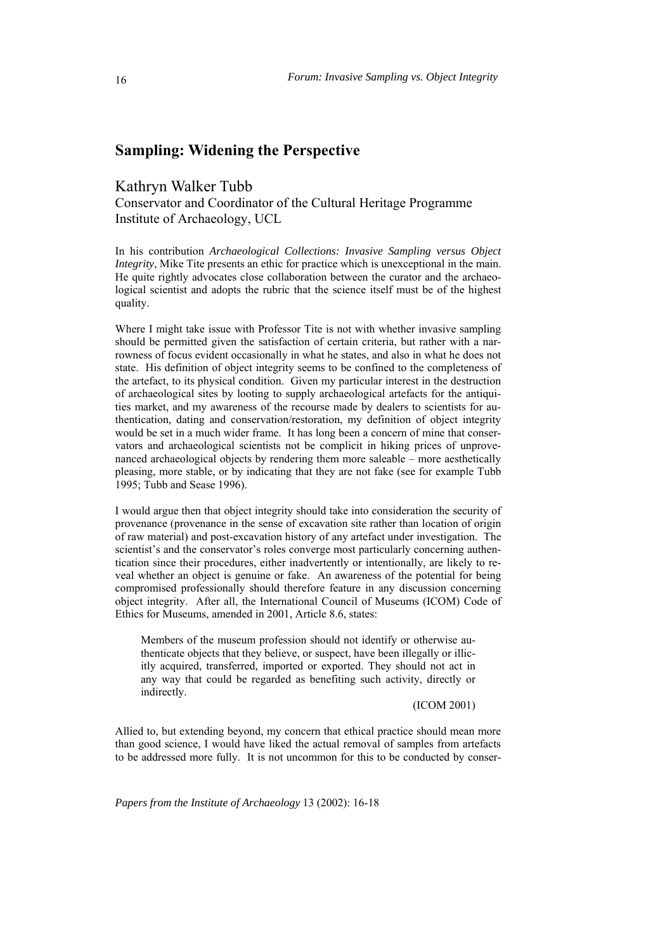# **Sampling: Widening the Perspective**

## Kathryn Walker Tubb

Conservator and Coordinator of the Cultural Heritage Programme Institute of Archaeology, UCL

In his contribution *Archaeological Collections: Invasive Sampling versus Object Integrity*, Mike Tite presents an ethic for practice which is unexceptional in the main. He quite rightly advocates close collaboration between the curator and the archaeological scientist and adopts the rubric that the science itself must be of the highest quality.

Where I might take issue with Professor Tite is not with whether invasive sampling should be permitted given the satisfaction of certain criteria, but rather with a narrowness of focus evident occasionally in what he states, and also in what he does not state. His definition of object integrity seems to be confined to the completeness of the artefact, to its physical condition. Given my particular interest in the destruction of archaeological sites by looting to supply archaeological artefacts for the antiquities market, and my awareness of the recourse made by dealers to scientists for authentication, dating and conservation/restoration, my definition of object integrity would be set in a much wider frame. It has long been a concern of mine that conservators and archaeological scientists not be complicit in hiking prices of unprovenanced archaeological objects by rendering them more saleable – more aesthetically pleasing, more stable, or by indicating that they are not fake (see for example Tubb 1995; Tubb and Sease 1996).

I would argue then that object integrity should take into consideration the security of provenance (provenance in the sense of excavation site rather than location of origin of raw material) and post-excavation history of any artefact under investigation. The scientist's and the conservator's roles converge most particularly concerning authentication since their procedures, either inadvertently or intentionally, are likely to reveal whether an object is genuine or fake. An awareness of the potential for being compromised professionally should therefore feature in any discussion concerning object integrity. After all, the International Council of Museums (ICOM) Code of Ethics for Museums, amended in 2001, Article 8.6, states:

Members of the museum profession should not identify or otherwise authenticate objects that they believe, or suspect, have been illegally or illicitly acquired, transferred, imported or exported. They should not act in any way that could be regarded as benefiting such activity, directly or indirectly.

#### (ICOM 2001)

Allied to, but extending beyond, my concern that ethical practice should mean more than good science, I would have liked the actual removal of samples from artefacts to be addressed more fully. It is not uncommon for this to be conducted by conser-

*Papers from the Institute of Archaeology* 13 (2002): 16-18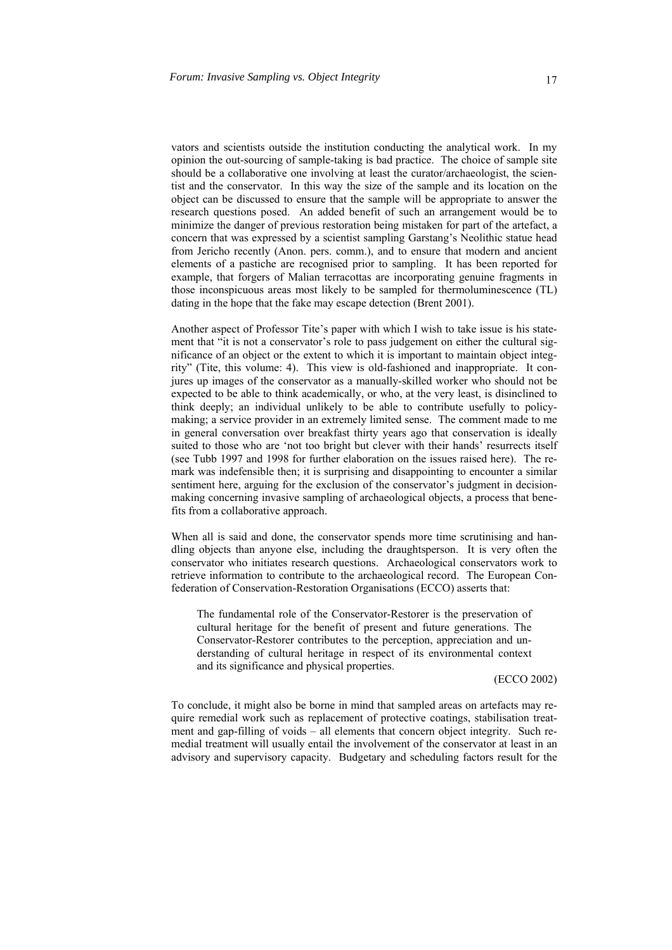vators and scientists outside the institution conducting the analytical work. In my opinion the out-sourcing of sample-taking is bad practice. The choice of sample site should be a collaborative one involving at least the curator/archaeologist, the scientist and the conservator. In this way the size of the sample and its location on the object can be discussed to ensure that the sample will be appropriate to answer the research questions posed. An added benefit of such an arrangement would be to minimize the danger of previous restoration being mistaken for part of the artefact, a concern that was expressed by a scientist sampling Garstang's Neolithic statue head from Jericho recently (Anon. pers. comm.), and to ensure that modern and ancient elements of a pastiche are recognised prior to sampling. It has been reported for example, that forgers of Malian terracottas are incorporating genuine fragments in those inconspicuous areas most likely to be sampled for thermoluminescence (TL) dating in the hope that the fake may escape detection (Brent 2001).

Another aspect of Professor Tite's paper with which I wish to take issue is his statement that "it is not a conservator's role to pass judgement on either the cultural significance of an object or the extent to which it is important to maintain object integrity" (Tite, this volume: 4). This view is old-fashioned and inappropriate. It conjures up images of the conservator as a manually-skilled worker who should not be expected to be able to think academically, or who, at the very least, is disinclined to think deeply; an individual unlikely to be able to contribute usefully to policymaking; a service provider in an extremely limited sense. The comment made to me in general conversation over breakfast thirty years ago that conservation is ideally suited to those who are 'not too bright but clever with their hands' resurrects itself (see Tubb 1997 and 1998 for further elaboration on the issues raised here). The remark was indefensible then; it is surprising and disappointing to encounter a similar sentiment here, arguing for the exclusion of the conservator's judgment in decisionmaking concerning invasive sampling of archaeological objects, a process that benefits from a collaborative approach.

When all is said and done, the conservator spends more time scrutinising and handling objects than anyone else, including the draughtsperson. It is very often the conservator who initiates research questions. Archaeological conservators work to retrieve information to contribute to the archaeological record. The European Confederation of Conservation-Restoration Organisations (ECCO) asserts that:

The fundamental role of the Conservator-Restorer is the preservation of cultural heritage for the benefit of present and future generations. The Conservator-Restorer contributes to the perception, appreciation and understanding of cultural heritage in respect of its environmental context and its significance and physical properties.

### (ECCO 2002)

To conclude, it might also be borne in mind that sampled areas on artefacts may require remedial work such as replacement of protective coatings, stabilisation treatment and gap-filling of voids – all elements that concern object integrity. Such remedial treatment will usually entail the involvement of the conservator at least in an advisory and supervisory capacity. Budgetary and scheduling factors result for the